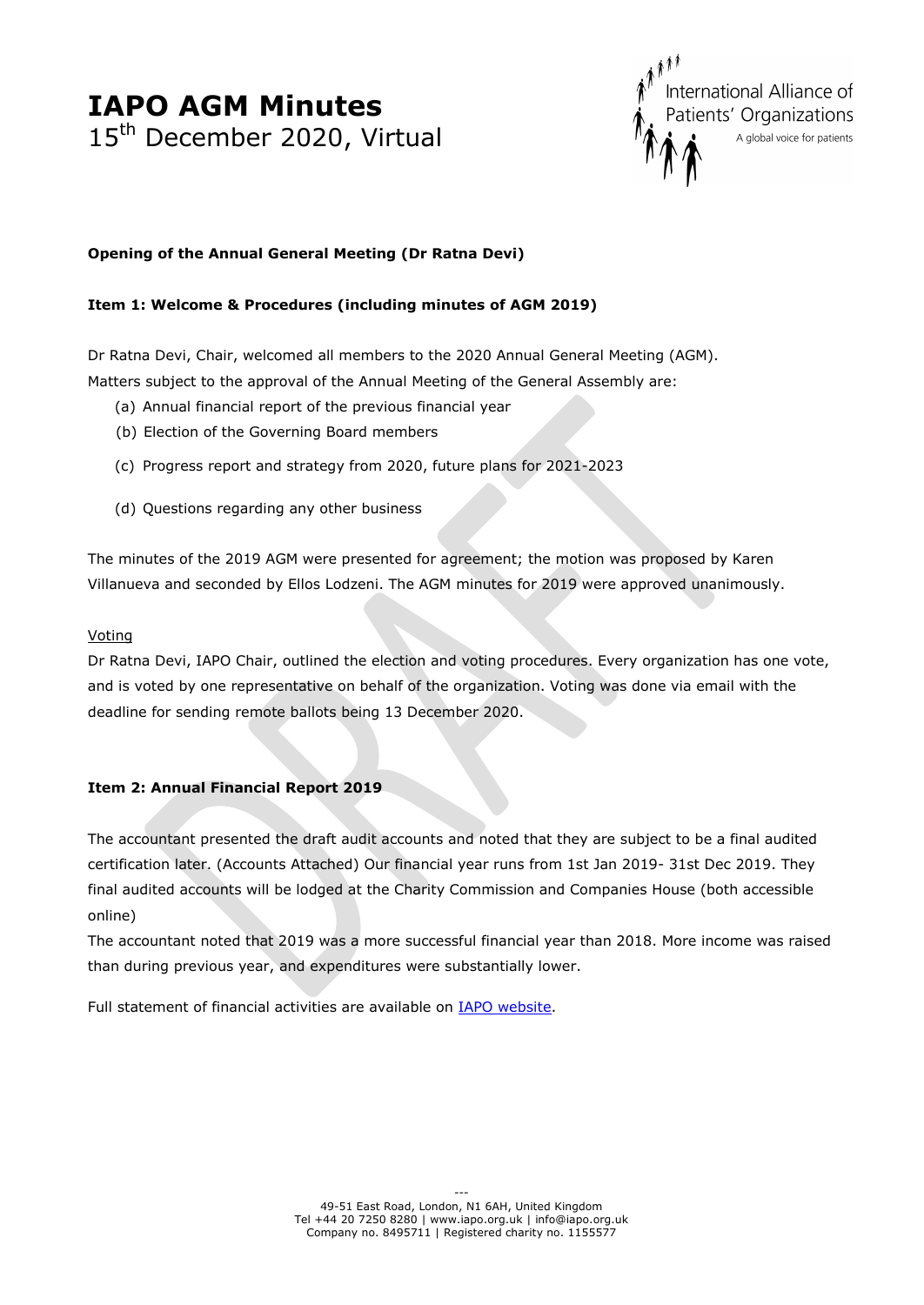

### **Opening of the Annual General Meeting (Dr Ratna Devi)**

### **Item 1: Welcome & Procedures (including minutes of AGM 2019)**

Dr Ratna Devi, Chair, welcomed all members to the 2020 Annual General Meeting (AGM). Matters subject to the approval of the Annual Meeting of the General Assembly are:

- (a) Annual financial report of the previous financial year
- (b) Election of the Governing Board members
- (c) Progress report and strategy from 2020, future plans for 2021-2023
- (d) Questions regarding any other business

The minutes of the 2019 AGM were presented for agreement; the motion was proposed by Karen Villanueva and seconded by Ellos Lodzeni. The AGM minutes for 2019 were approved unanimously.

#### Voting

Dr Ratna Devi, IAPO Chair, outlined the election and voting procedures. Every organization has one vote, and is voted by one representative on behalf of the organization. Voting was done via email with the deadline for sending remote ballots being 13 December 2020.

### **Item 2: Annual Financial Report 2019**

The accountant presented the draft audit accounts and noted that they are subject to be a final audited certification later. (Accounts Attached) Our financial year runs from 1st Jan 2019- 31st Dec 2019. They final audited accounts will be lodged at the Charity Commission and Companies House (both accessible online)

The accountant noted that 2019 was a more successful financial year than 2018. More income was raised than during previous year, and expenditures were substantially lower.

Full statement of financial activities are available on **IAPO** website.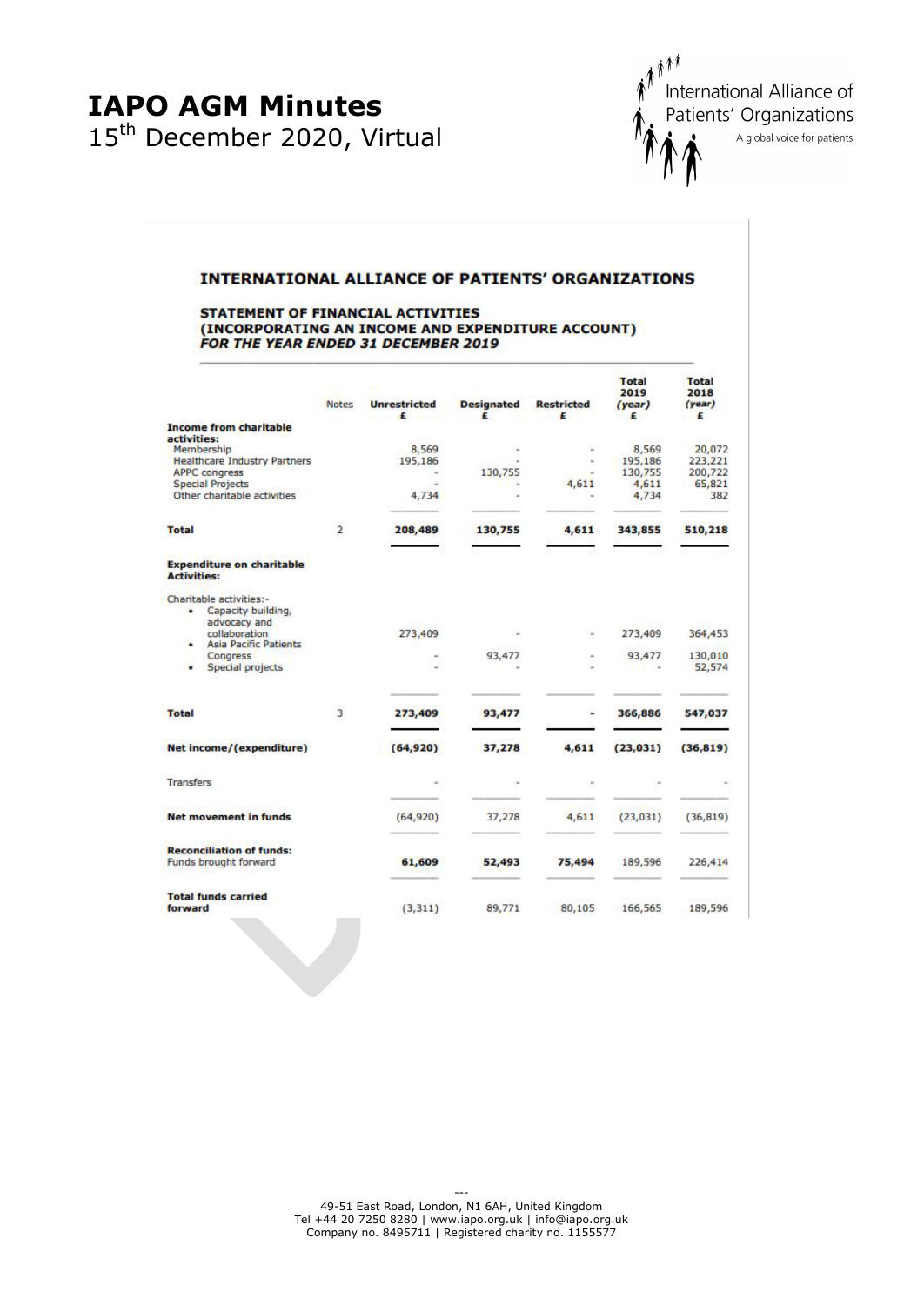

#### **INTERNATIONAL ALLIANCE OF PATIENTS' ORGANIZATIONS**

#### STATEMENT OF FINANCIAL ACTIVITIES (INCORPORATING AN INCOME AND EXPENDITURE ACCOUNT) FOR THE YEAR ENDED 31 DECEMBER 2019

|                                                                                                                                                               | Notes          | <b>Unrestricted</b><br>£  | <b>Designated</b><br>£ | <b>Restricted</b><br>£ | <b>Total</b><br>2019<br>(year)<br>£           | <b>Total</b><br>2018<br>(year)<br>£           |
|---------------------------------------------------------------------------------------------------------------------------------------------------------------|----------------|---------------------------|------------------------|------------------------|-----------------------------------------------|-----------------------------------------------|
| <b>Income from charitable</b>                                                                                                                                 |                |                           |                        |                        |                                               |                                               |
| activities:<br>Membership<br><b>Healthcare Industry Partners</b><br><b>APPC congress</b><br><b>Special Projects</b><br>Other charitable activities            |                | 8,569<br>195,186<br>4,734 | 130,755                | 4,611                  | 8,569<br>195,186<br>130,755<br>4,611<br>4,734 | 20,072<br>223,221<br>200,722<br>65,821<br>382 |
| <b>Total</b>                                                                                                                                                  | $\overline{2}$ | 208,489                   | 130,755                | 4,611                  | 343,855                                       | 510,218                                       |
| <b>Expenditure on charitable</b><br><b>Activities:</b>                                                                                                        |                |                           |                        |                        |                                               |                                               |
| Charitable activities:-<br>Capacity building,<br>٠<br>advocacy and<br>collaboration<br><b>Asia Pacific Patients</b><br>٠<br>Congress<br>Special projects<br>٠ |                | 273,409                   | 93,477                 |                        | 273,409<br>93,477                             | 364,453<br>130,010<br>52,574                  |
| <b>Total</b>                                                                                                                                                  | 3              | 273,409                   | 93,477                 | ۰                      | 366,886                                       | 547,037                                       |
| Net income/(expenditure)                                                                                                                                      |                | (64, 920)                 | 37,278                 | 4,611                  | (23, 031)                                     | (36, 819)                                     |
| <b>Transfers</b>                                                                                                                                              |                |                           |                        |                        |                                               |                                               |
| <b>Net movement in funds</b>                                                                                                                                  |                | (64, 920)                 | 37,278                 | 4,611                  | (23, 031)                                     | (36, 819)                                     |
| <b>Reconciliation of funds:</b><br>Funds brought forward                                                                                                      |                | 61,609                    | 52,493                 | 75,494                 | 189,596                                       | 226,414                                       |
| <b>Total funds carried</b><br>forward                                                                                                                         |                | (3, 311)                  | 89,771                 | 80,105                 | 166,565                                       | 189,596                                       |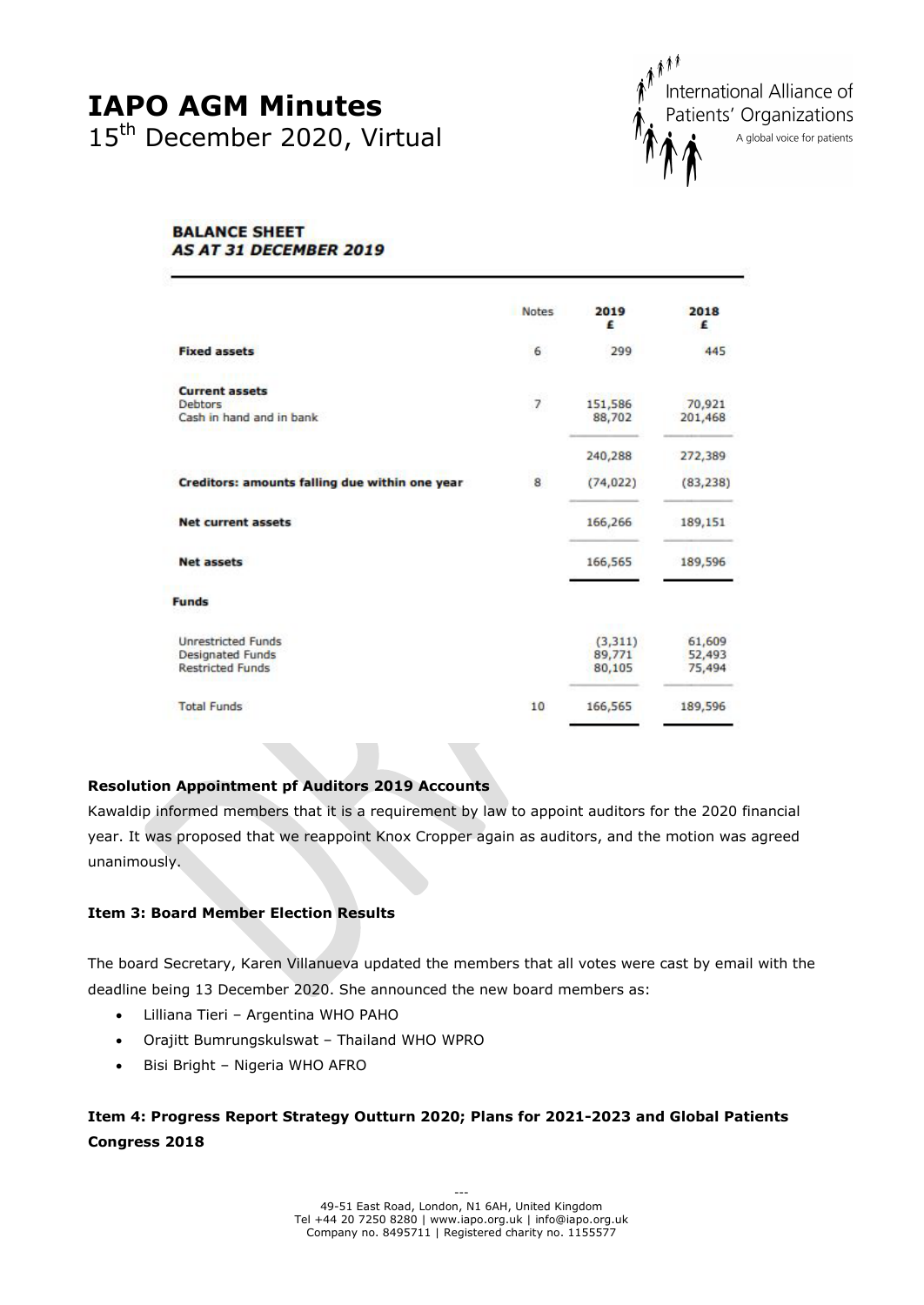

#### **BALANCE SHEET AS AT 31 DECEMBER 2019**

|                                                    | <b>Notes</b>             | 2019<br>£         | 2018<br>£         |
|----------------------------------------------------|--------------------------|-------------------|-------------------|
| <b>Fixed assets</b>                                | 6                        | 299               | 445               |
| <b>Current assets</b>                              |                          |                   |                   |
| Debtors<br>Cash in hand and in bank                | $\overline{\phantom{a}}$ | 151,586<br>88,702 | 70,921<br>201,468 |
|                                                    |                          | 240,288           | 272,389           |
| Creditors: amounts falling due within one year     | 8                        | (74, 022)         | (83, 238)         |
| <b>Net current assets</b>                          |                          | 166,266           | 189,151           |
| <b>Net assets</b>                                  |                          | 166,565           | 189,596           |
| <b>Funds</b>                                       |                          |                   |                   |
| <b>Unrestricted Funds</b>                          |                          | (3, 311)          | 61,609            |
| <b>Designated Funds</b><br><b>Restricted Funds</b> |                          | 89,771<br>80,105  | 52,493<br>75,494  |
| <b>Total Funds</b>                                 | 10                       | 166,565           | 189,596           |

## **Resolution Appointment pf Auditors 2019 Accounts**

Kawaldip informed members that it is a requirement by law to appoint auditors for the 2020 financial year. It was proposed that we reappoint Knox Cropper again as auditors, and the motion was agreed unanimously.

### **Item 3: Board Member Election Results**

The board Secretary, Karen Villanueva updated the members that all votes were cast by email with the deadline being 13 December 2020. She announced the new board members as:

- Lilliana Tieri Argentina WHO PAHO
- Orajitt Bumrungskulswat Thailand WHO WPRO
- Bisi Bright Nigeria WHO AFRO

# **Item 4: Progress Report Strategy Outturn 2020; Plans for 2021-2023 and Global Patients Congress 2018**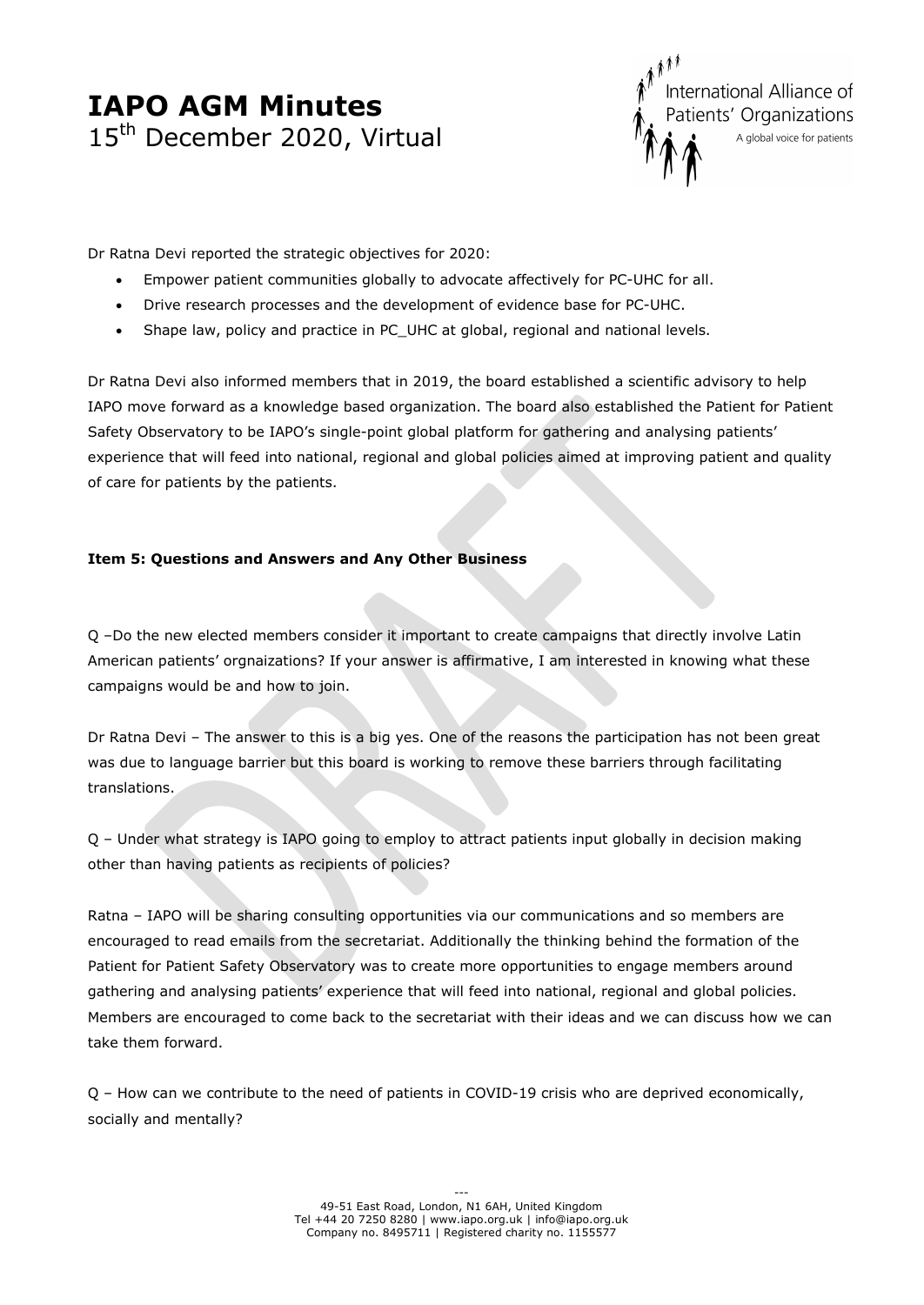International Alliance of Patients' Organizations A global voice for patients

Dr Ratna Devi reported the strategic objectives for 2020:

- Empower patient communities globally to advocate affectively for PC-UHC for all.
- Drive research processes and the development of evidence base for PC-UHC.
- Shape law, policy and practice in PC\_UHC at global, regional and national levels.

Dr Ratna Devi also informed members that in 2019, the board established a scientific advisory to help IAPO move forward as a knowledge based organization. The board also established the Patient for Patient Safety Observatory to be IAPO's single-point global platform for gathering and analysing patients' experience that will feed into national, regional and global policies aimed at improving patient and quality of care for patients by the patients.

# **Item 5: Questions and Answers and Any Other Business**

Q –Do the new elected members consider it important to create campaigns that directly involve Latin American patients' orgnaizations? If your answer is affirmative, I am interested in knowing what these campaigns would be and how to join.

Dr Ratna Devi – The answer to this is a big yes. One of the reasons the participation has not been great was due to language barrier but this board is working to remove these barriers through facilitating translations.

Q – Under what strategy is IAPO going to employ to attract patients input globally in decision making other than having patients as recipients of policies?

Ratna – IAPO will be sharing consulting opportunities via our communications and so members are encouraged to read emails from the secretariat. Additionally the thinking behind the formation of the Patient for Patient Safety Observatory was to create more opportunities to engage members around gathering and analysing patients' experience that will feed into national, regional and global policies. Members are encouraged to come back to the secretariat with their ideas and we can discuss how we can take them forward.

Q – How can we contribute to the need of patients in COVID-19 crisis who are deprived economically, socially and mentally?